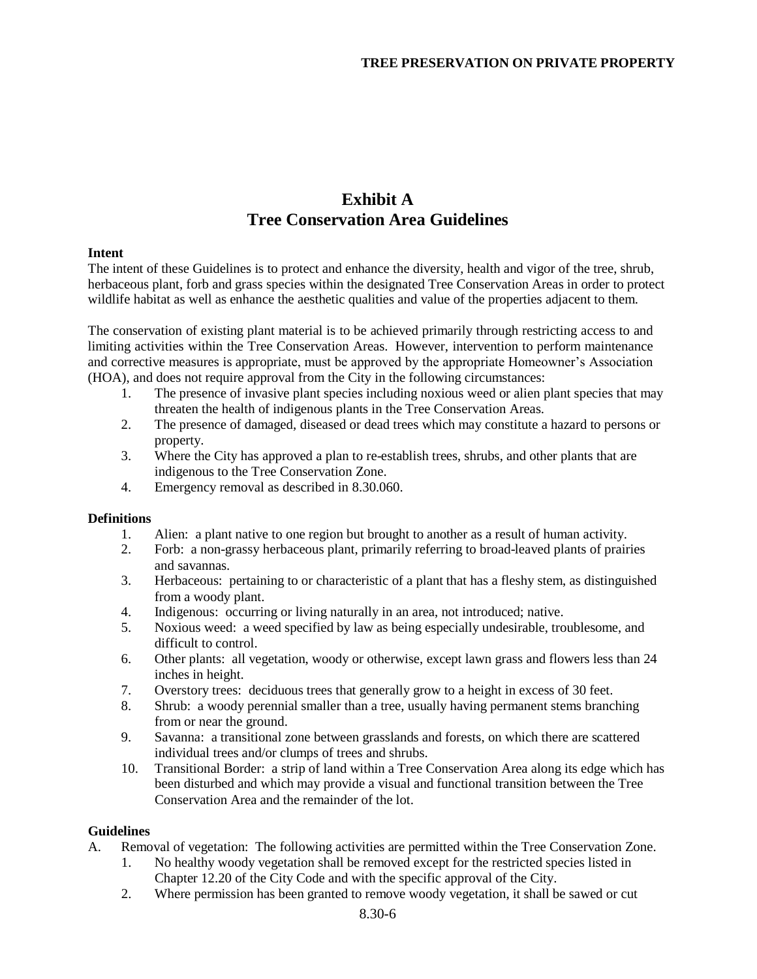# **Exhibit A Tree Conservation Area Guidelines**

### **Intent**

The intent of these Guidelines is to protect and enhance the diversity, health and vigor of the tree, shrub, herbaceous plant, forb and grass species within the designated Tree Conservation Areas in order to protect wildlife habitat as well as enhance the aesthetic qualities and value of the properties adjacent to them.

The conservation of existing plant material is to be achieved primarily through restricting access to and limiting activities within the Tree Conservation Areas. However, intervention to perform maintenance and corrective measures is appropriate, must be approved by the appropriate Homeowner's Association (HOA), and does not require approval from the City in the following circumstances:

- 1. The presence of invasive plant species including noxious weed or alien plant species that may threaten the health of indigenous plants in the Tree Conservation Areas.
- 2. The presence of damaged, diseased or dead trees which may constitute a hazard to persons or property.
- 3. Where the City has approved a plan to re-establish trees, shrubs, and other plants that are indigenous to the Tree Conservation Zone.
- 4. Emergency removal as described in 8.30.060.

#### **Definitions**

- 1. Alien: a plant native to one region but brought to another as a result of human activity.
- 2. Forb: a non-grassy herbaceous plant, primarily referring to broad-leaved plants of prairies and savannas.
- 3. Herbaceous: pertaining to or characteristic of a plant that has a fleshy stem, as distinguished from a woody plant.
- 4. Indigenous: occurring or living naturally in an area, not introduced; native.
- 5. Noxious weed: a weed specified by law as being especially undesirable, troublesome, and difficult to control.
- 6. Other plants: all vegetation, woody or otherwise, except lawn grass and flowers less than 24 inches in height.
- 7. Overstory trees: deciduous trees that generally grow to a height in excess of 30 feet.
- 8. Shrub: a woody perennial smaller than a tree, usually having permanent stems branching from or near the ground.
- 9. Savanna: a transitional zone between grasslands and forests, on which there are scattered individual trees and/or clumps of trees and shrubs.
- 10. Transitional Border: a strip of land within a Tree Conservation Area along its edge which has been disturbed and which may provide a visual and functional transition between the Tree Conservation Area and the remainder of the lot.

### **Guidelines**

- A. Removal of vegetation: The following activities are permitted within the Tree Conservation Zone.
	- 1. No healthy woody vegetation shall be removed except for the restricted species listed in Chapter 12.20 of the City Code and with the specific approval of the City.
	- 2. Where permission has been granted to remove woody vegetation, it shall be sawed or cut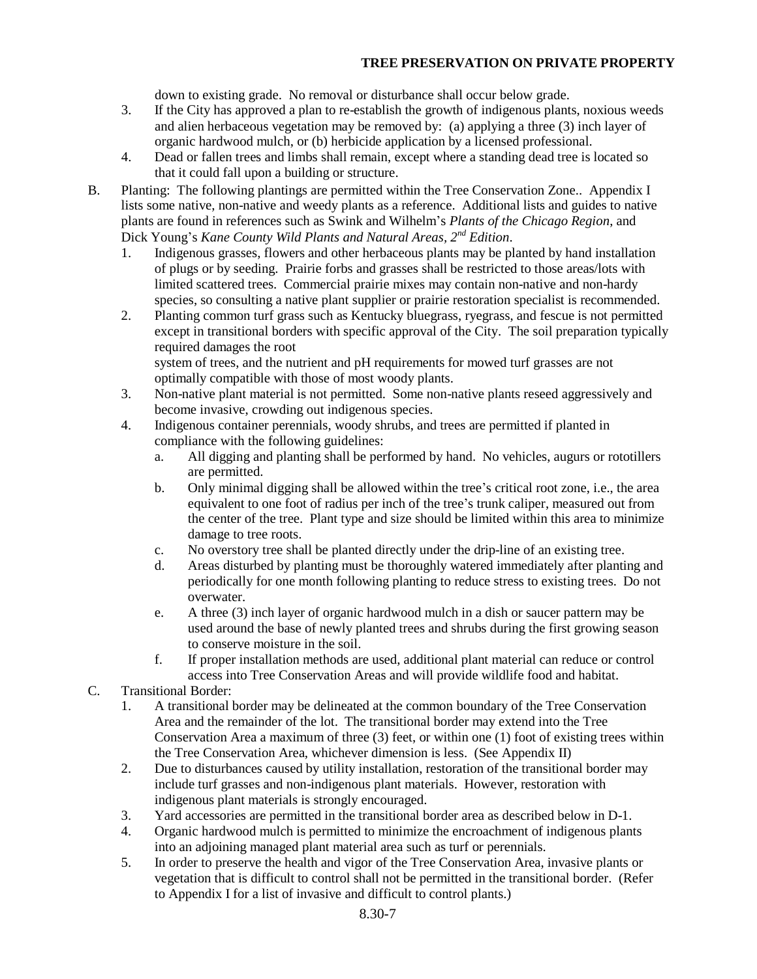## **TREE PRESERVATION ON PRIVATE PROPERTY**

down to existing grade. No removal or disturbance shall occur below grade.

- 3. If the City has approved a plan to re-establish the growth of indigenous plants, noxious weeds and alien herbaceous vegetation may be removed by: (a) applying a three (3) inch layer of organic hardwood mulch, or (b) herbicide application by a licensed professional.
- 4. Dead or fallen trees and limbs shall remain, except where a standing dead tree is located so that it could fall upon a building or structure.
- B. Planting: The following plantings are permitted within the Tree Conservation Zone.. Appendix I lists some native, non-native and weedy plants as a reference. Additional lists and guides to native plants are found in references such as Swink and Wilhelm's *Plants of the Chicago Region*, and Dick Young's *Kane County Wild Plants and Natural Areas, 2nd Edition*.
	- 1. Indigenous grasses, flowers and other herbaceous plants may be planted by hand installation of plugs or by seeding. Prairie forbs and grasses shall be restricted to those areas/lots with limited scattered trees. Commercial prairie mixes may contain non-native and non-hardy species, so consulting a native plant supplier or prairie restoration specialist is recommended.
	- 2. Planting common turf grass such as Kentucky bluegrass, ryegrass, and fescue is not permitted except in transitional borders with specific approval of the City. The soil preparation typically required damages the root system of trees, and the nutrient and pH requirements for mowed turf grasses are not

optimally compatible with those of most woody plants.

- 3. Non-native plant material is not permitted. Some non-native plants reseed aggressively and become invasive, crowding out indigenous species.
- 4. Indigenous container perennials, woody shrubs, and trees are permitted if planted in compliance with the following guidelines:
	- a. All digging and planting shall be performed by hand. No vehicles, augurs or rototillers are permitted.
	- b. Only minimal digging shall be allowed within the tree's critical root zone, i.e., the area equivalent to one foot of radius per inch of the tree's trunk caliper, measured out from the center of the tree. Plant type and size should be limited within this area to minimize damage to tree roots.
	- c. No overstory tree shall be planted directly under the drip-line of an existing tree.
	- d. Areas disturbed by planting must be thoroughly watered immediately after planting and periodically for one month following planting to reduce stress to existing trees. Do not overwater.
	- e. A three (3) inch layer of organic hardwood mulch in a dish or saucer pattern may be used around the base of newly planted trees and shrubs during the first growing season to conserve moisture in the soil.
	- f. If proper installation methods are used, additional plant material can reduce or control access into Tree Conservation Areas and will provide wildlife food and habitat.
- C. Transitional Border:
	- 1. A transitional border may be delineated at the common boundary of the Tree Conservation Area and the remainder of the lot. The transitional border may extend into the Tree Conservation Area a maximum of three (3) feet, or within one (1) foot of existing trees within the Tree Conservation Area, whichever dimension is less. (See Appendix II)
	- 2. Due to disturbances caused by utility installation, restoration of the transitional border may include turf grasses and non-indigenous plant materials. However, restoration with indigenous plant materials is strongly encouraged.
	- 3. Yard accessories are permitted in the transitional border area as described below in D-1.
	- 4. Organic hardwood mulch is permitted to minimize the encroachment of indigenous plants into an adjoining managed plant material area such as turf or perennials.
	- 5. In order to preserve the health and vigor of the Tree Conservation Area, invasive plants or vegetation that is difficult to control shall not be permitted in the transitional border. (Refer to Appendix I for a list of invasive and difficult to control plants.)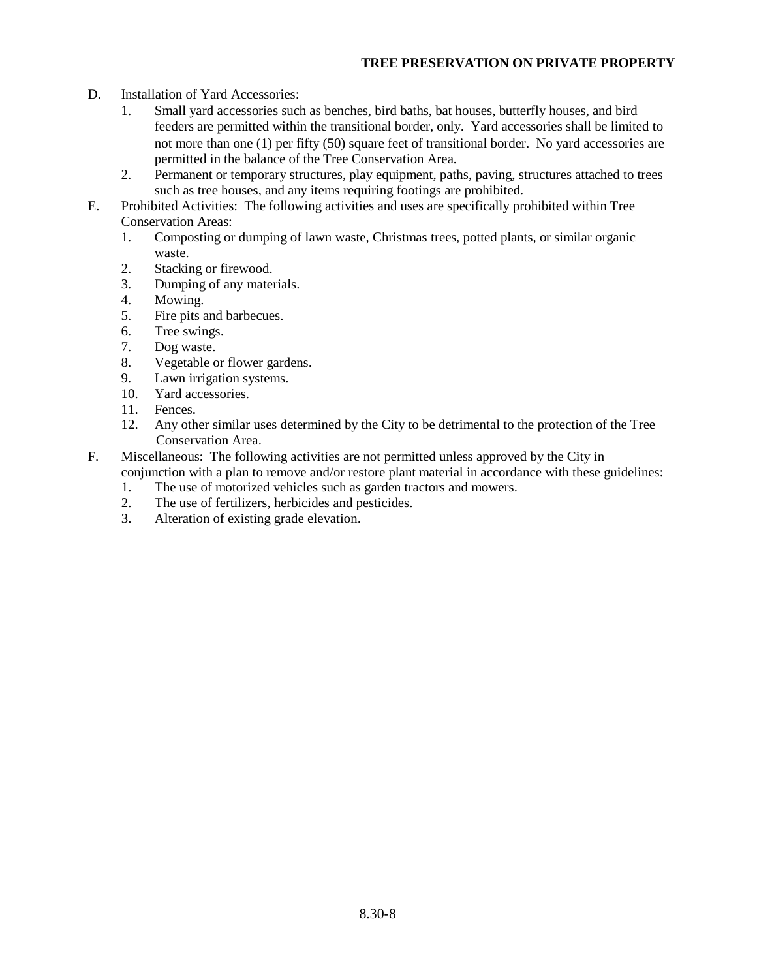## **TREE PRESERVATION ON PRIVATE PROPERTY**

- D. Installation of Yard Accessories:
	- 1. Small yard accessories such as benches, bird baths, bat houses, butterfly houses, and bird feeders are permitted within the transitional border, only. Yard accessories shall be limited to not more than one (1) per fifty (50) square feet of transitional border. No yard accessories are permitted in the balance of the Tree Conservation Area.
	- 2. Permanent or temporary structures, play equipment, paths, paving, structures attached to trees such as tree houses, and any items requiring footings are prohibited.
- E. Prohibited Activities: The following activities and uses are specifically prohibited within Tree Conservation Areas:
	- 1. Composting or dumping of lawn waste, Christmas trees, potted plants, or similar organic waste.
	- 2. Stacking or firewood.
	- 3. Dumping of any materials.
	- 4. Mowing.
	- 5. Fire pits and barbecues.
	- 6. Tree swings.
	- 7. Dog waste.
	- 8. Vegetable or flower gardens.
	- 9. Lawn irrigation systems.
	- 10. Yard accessories.
	- 11. Fences.
	- 12. Any other similar uses determined by the City to be detrimental to the protection of the Tree Conservation Area.
- F. Miscellaneous: The following activities are not permitted unless approved by the City in conjunction with a plan to remove and/or restore plant material in accordance with these guidelines:
	- 1. The use of motorized vehicles such as garden tractors and mowers.
	- 2. The use of fertilizers, herbicides and pesticides.
	- 3. Alteration of existing grade elevation.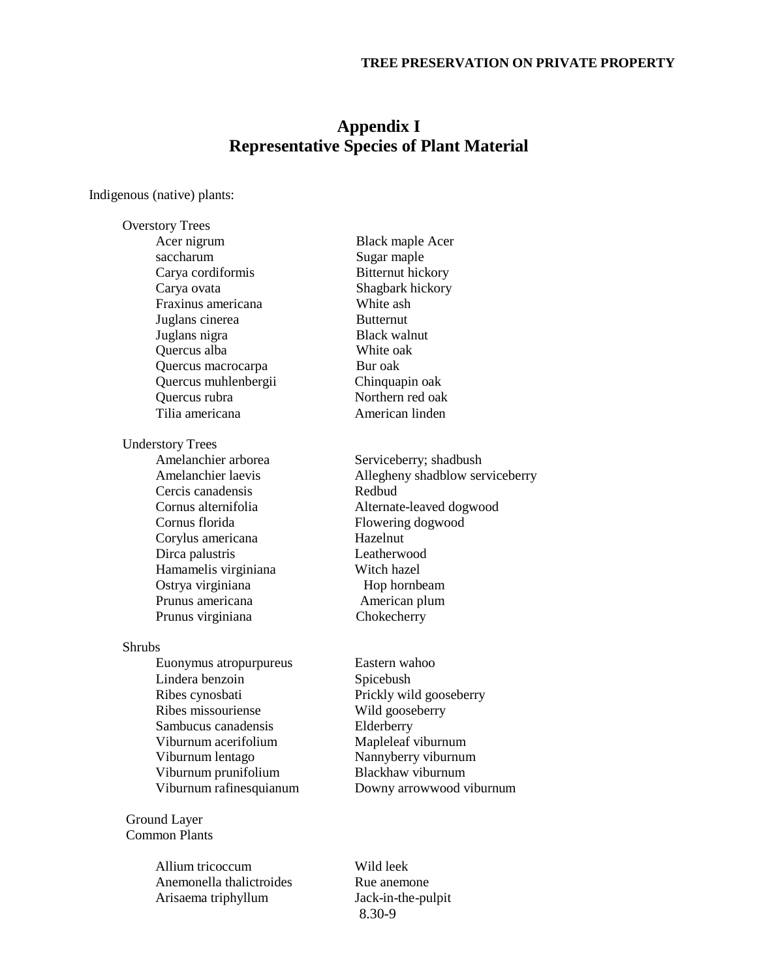# **Appendix I Representative Species of Plant Material**

Indigenous (native) plants:

Overstory Trees Acer nigrum Black maple Acer saccharum Sugar maple Carya cordiformis Bitternut hickory Carya ovata Shagbark hickory Fraxinus americana White ash Juglans cinerea Butternut Juglans nigra Black walnut Quercus alba White oak Quercus macrocarpa Bur oak Quercus muhlenbergii Chinquapin oak Quercus rubra Northern red oak Tilia americana **American** American linden Understory Trees Amelanchier arborea Serviceberry; shadbush Amelanchier laevis Allegheny shadblow serviceberry Cercis canadensis Redbud Cornus alternifolia Alternate-leaved dogwood Cornus florida Flowering dogwood Corylus americana Hazelnut Dirca palustris Hamamelis virginiana Witch hazel Ostrya virginiana hombeam Prunus americana **American** Prunus americana Prunus virginiana Chokecherry Shrubs Euonymus atropurpureus Eastern wahoo Lindera benzoin Spicebush Ribes cynosbati Prickly wild gooseberry Ribes missouriense Wild gooseberry Sambucus canadensis Elderberry Viburnum acerifolium Mapleleaf viburnum Viburnum lentago Nannyberry viburnum Viburnum prunifolium Blackhaw viburnum Viburnum rafinesquianum Downy arrowwood viburnum

Ground Layer Common Plants

> Allium tricoccum Wild leek Anemonella thalictroides Rue anemone Arisaema triphyllum Jack-in-the-pulpit

8.30-9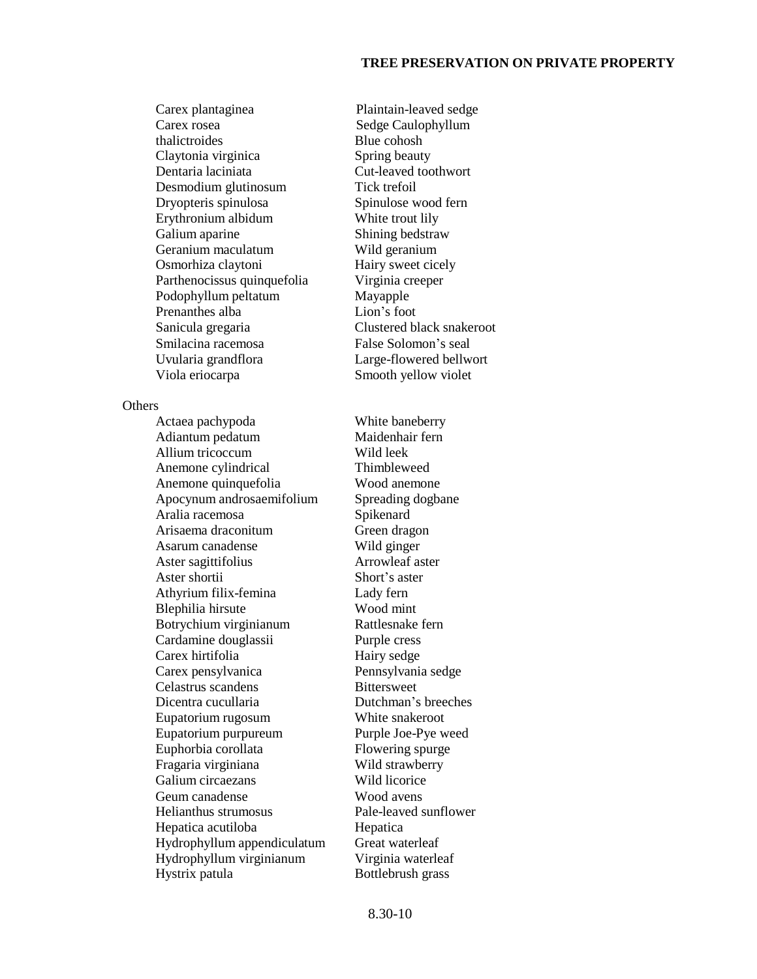Carex plantaginea Plaintain-leaved sedge Carex rosea Sedge Caulophyllum thalictroides Blue cohosh Claytonia virginica Spring beauty Dentaria laciniata Cut-leaved toothwort Desmodium glutinosum Tick trefoil Dryopteris spinulosa Spinulose wood fern Erythronium albidum White trout lily Galium aparine Shining bedstraw Geranium maculatum Wild geranium Osmorhiza claytoni Hairy sweet cicely Parthenocissus quinquefolia Virginia creeper Podophyllum peltatum Mayapple Prenanthes alba Lion's foot Sanicula gregaria Clustered black snakeroot Smilacina racemosa False Solomon's seal Uvularia grandflora Large-flowered bellwort Viola eriocarpa Smooth yellow violet

**Others** 

Actaea pachypoda White baneberry Adiantum pedatum Maidenhair fern Allium tricoccum Wild leek Anemone cylindrical Thimbleweed Anemone quinquefolia Wood anemone Apocynum androsaemifolium Spreading dogbane Aralia racemosa Spikenard Arisaema draconitum Green dragon Asarum canadense Wild ginger Aster sagittifolius Arrowleaf aster Aster shortii Short's aster Athyrium filix-femina Lady fern Blephilia hirsute Wood mint Botrychium virginianum Rattlesnake fern Cardamine douglassii Purple cress Carex hirtifolia Hairy sedge Carex pensylvanica Pennsylvania sedge Celastrus scandens Bittersweet Dicentra cucullaria Dutchman's breeches Eupatorium rugosum White snakeroot Eupatorium purpureum Purple Joe-Pye weed Euphorbia corollata Flowering spurge Fragaria virginiana Wild strawberry Galium circaezans Wild licorice Geum canadense Wood avens Helianthus strumosus Pale-leaved sunflower Hepatica acutiloba Hepatica Hydrophyllum appendiculatum Great waterleaf Hydrophyllum virginianum Virginia waterleaf Hystrix patula Bottlebrush grass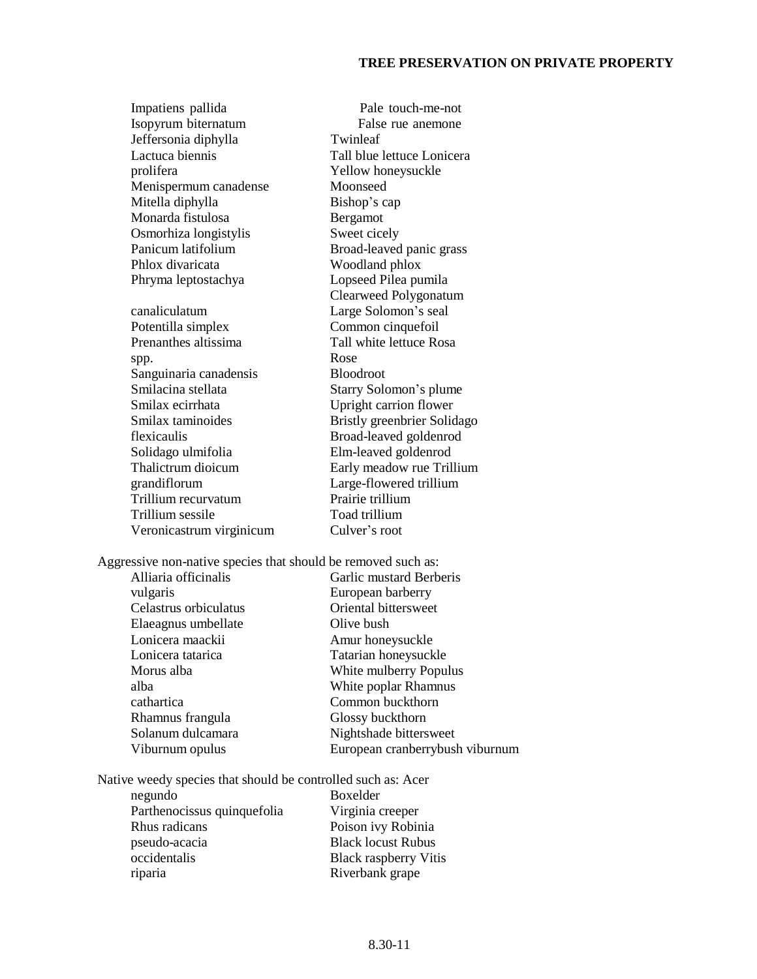#### **TREE PRESERVATION ON PRIVATE PROPERTY**

Impatiens pallida Pale touch-me-not Isopyrum biternatum False rue anemone Jeffersonia diphylla Twinleaf Lactuca biennis Tall blue lettuce Lonicera prolifera Yellow honeysuckle Menispermum canadense Moonseed Mitella diphylla Bishop's cap Monarda fistulosa Bergamot Osmorhiza longistylis Sweet cicely Panicum latifolium Broad-leaved panic grass Phlox divaricata Woodland phlox Phryma leptostachya Lopseed Pilea pumila Clearweed Polygonatum canaliculatum Large Solomon's seal Potentilla simplex Common cinquefoil Prenanthes altissima<br>
Tall white lettuce Rosa spp. Rose Sanguinaria canadensis Bloodroot Smilacina stellata Starry Solomon's plume Smilax ecirrhata Upright carrion flower Smilax taminoides Bristly greenbrier Solidago flexicaulis Broad-leaved goldenrod Solidago ulmifolia Elm-leaved goldenrod Thalictrum dioicum Early meadow rue Trillium grandiflorum Large-flowered trillium Trillium recurvatum Prairie trillium Trillium sessile Toad trillium Veronicastrum virginicum Culver's root

Aggressive non-native species that should be removed such as:

vulgaris European barberry Elaeagnus umbellate Olive bush Lonicera maackii Amur honeysuckle Rhamnus frangula Glossy buckthorn

Alliaria officinalis Garlic mustard Berberis Celastrus orbiculatus Oriental bittersweet Lonicera tatarica Tatarian honeysuckle Morus alba White mulberry Populus alba White poplar Rhamnus cathartica Common buckthorn Solanum dulcamara Nightshade bittersweet Viburnum opulus European cranberrybush viburnum

Native weedy species that should be controlled such as: Acer

negundo Boxelder Parthenocissus quinquefolia Virginia creeper Rhus radicans Poison ivy Robinia pseudo-acacia Black locust Rubus occidentalis Black raspberry Vitis riparia Riverbank grape